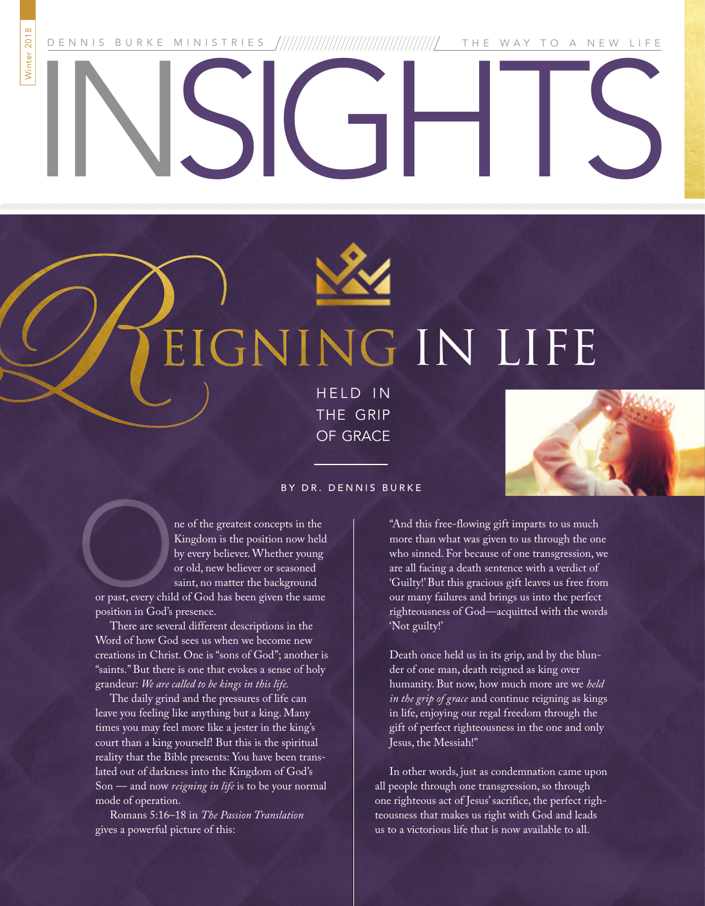DENNIS BURKE MINISTRIES THE WAY TO A NEW LIFE

# Winter 2018

# INSIGHTS



## THE<sub>1</sub> IN LIFE

HELD IN THE GRIP OF GRACE



#### BY DR. DENNIS BURKE

ne of the greatest concepts in the Kingdom is the position now held by every believer. Whether young or old, new believer or seasoned saint, no matter the background

or past, every child of God has been given the same position in God's presence.

There are several different descriptions in the Word of how God sees us when we become new creations in Christ. One is "sons of God"; another is "saints." But there is one that evokes a sense of holy grandeur: *We are called to be kings in this life.* 

The daily grind and the pressures of life can leave you feeling like anything but a king. Many times you may feel more like a jester in the king's court than a king yourself! But this is the spiritual reality that the Bible presents: You have been translated out of darkness into the Kingdom of God's Son — and now *reigning in life* is to be your normal mode of operation.

Romans 5:16–18 in *The Passion Translation*  gives a powerful picture of this:

"And this free-flowing gift imparts to us much more than what was given to us through the one who sinned. For because of one transgression, we are all facing a death sentence with a verdict of 'Guilty!' But this gracious gift leaves us free from our many failures and brings us into the perfect righteousness of God—acquitted with the words 'Not guilty!'

Death once held us in its grip, and by the blunder of one man, death reigned as king over humanity. But now, how much more are we *held in the grip of grace* and continue reigning as kings in life, enjoying our regal freedom through the gift of perfect righteousness in the one and only Jesus, the Messiah!"

In other words, just as condemnation came upon all people through one transgression, so through one righteous act of Jesus' sacrifice, the perfect righteousness that makes us right with God and leads us to a victorious life that is now available to all.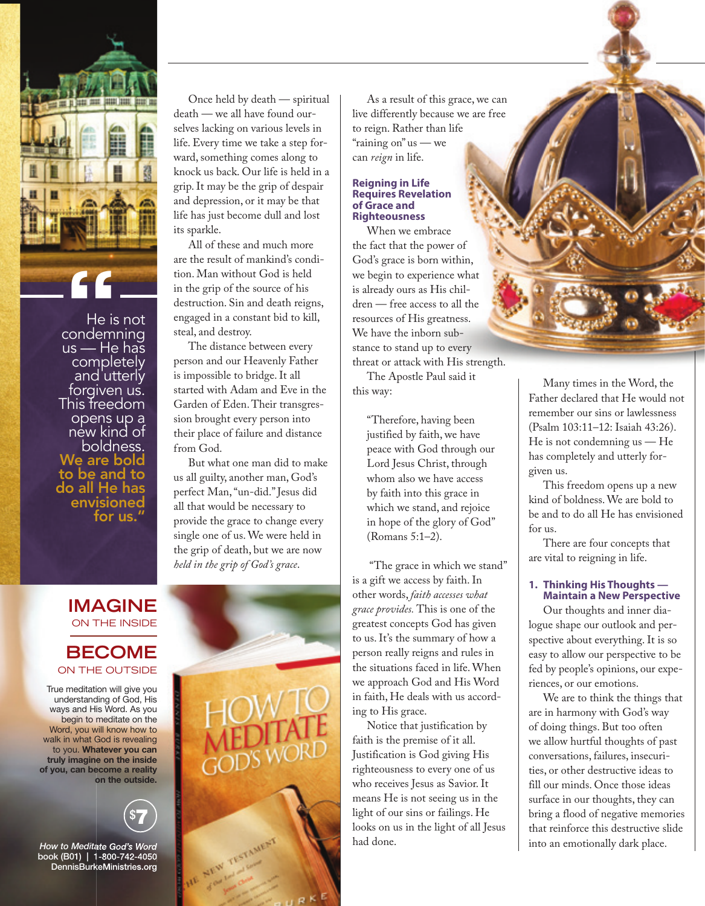

He is not us — He has **completely** and utterly forgiven us. This freedom opens up a new kind of boldness. We are bold to be and to do all He has envisioned for us.

Once held by death — spiritual death — we all have found ourselves lacking on various levels in life. Every time we take a step forward, something comes along to knock us back. Our life is held in a grip. It may be the grip of despair and depression, or it may be that life has just become dull and lost its sparkle.

All of these and much more are the result of mankind's condition. Man without God is held in the grip of the source of his destruction. Sin and death reigns, engaged in a constant bid to kill, steal, and destroy.

The distance between every person and our Heavenly Father is impossible to bridge. It all started with Adam and Eve in the Garden of Eden. Their transgression brought every person into their place of failure and distance from God.

But what one man did to make us all guilty, another man, God's perfect Man, "un-did." Jesus did all that would be necessary to provide the grace to change every single one of us. We were held in the grip of death, but we are now *held in the grip of God's grace*.

#### **IMAGINE** ON THE INSIDE

#### **BECOME**  ON THE OUTSIDE

True meditation will give you understanding of God, His ways and His Word. As you begin to meditate on the Word, you will know how to walk in what God is revealing to you. Whatever you can truly imagine on the inside of you, can become a reality on the outside.



*How to Meditate God's Word*  book (B01) | 1-800-742-4050 DennisBurkeMinistries.org



As a result of this grace, we can live differently because we are free to reign. Rather than life "raining on" us — we can *reign* in life.

#### **Reigning in Life Requires Revelation of Grace and Righteousness**

When we embrace the fact that the power of God's grace is born within, we begin to experience what is already ours as His children — free access to all the resources of His greatness. We have the inborn substance to stand up to every threat or attack with His strength. The Apostle Paul said it

this way:

"Therefore, having been justified by faith, we have peace with God through our Lord Jesus Christ, through whom also we have access by faith into this grace in which we stand, and rejoice in hope of the glory of God" (Romans 5:1–2).

 "The grace in which we stand" is a gift we access by faith. In other words, *faith accesses what grace provides.* This is one of the greatest concepts God has given to us. It's the summary of how a person really reigns and rules in the situations faced in life. When we approach God and His Word in faith, He deals with us according to His grace.

Notice that justification by faith is the premise of it all. Justification is God giving His righteousness to every one of us who receives Jesus as Savior. It means He is not seeing us in the light of our sins or failings. He looks on us in the light of all Jesus had done.

Many times in the Word, the Father declared that He would not remember our sins or lawlessness (Psalm 103:11–12: Isaiah 43:26). He is not condemning us — He has completely and utterly forgiven us.

This freedom opens up a new kind of boldness. We are bold to be and to do all He has envisioned for us.

There are four concepts that are vital to reigning in life.

#### **1. Thinking His Thoughts — Maintain a New Perspective**

Our thoughts and inner dialogue shape our outlook and perspective about everything. It is so easy to allow our perspective to be fed by people's opinions, our experiences, or our emotions.

We are to think the things that are in harmony with God's way of doing things. But too often we allow hurtful thoughts of past conversations, failures, insecurities, or other destructive ideas to fill our minds. Once those ideas surface in our thoughts, they can bring a flood of negative memories that reinforce this destructive slide into an emotionally dark place.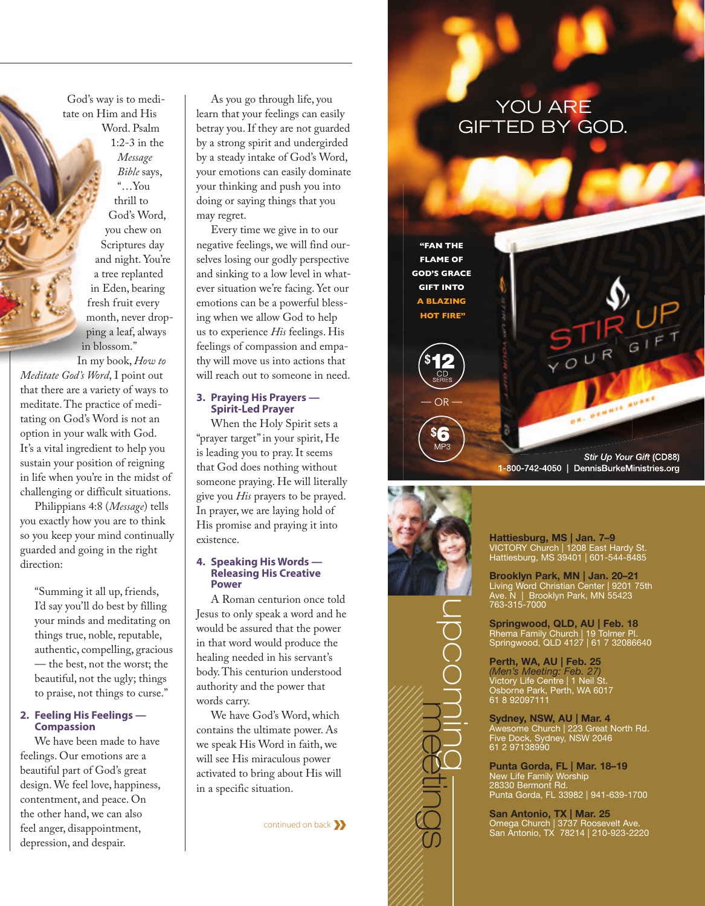God's way is to meditate on Him and His Word. Psalm

> 1:2-3 in the *Message Bible* says, "…You thrill to God's Word, you chew on Scriptures day and night. You're a tree replanted in Eden, bearing fresh fruit every month, never dropping a leaf, always in blossom."

In my book, *How to Meditate God's Word*, I point out that there are a variety of ways to meditate. The practice of meditating on God's Word is not an option in your walk with God. It's a vital ingredient to help you sustain your position of reigning in life when you're in the midst of challenging or difficult situations.

Philippians 4:8 (*Message*) tells you exactly how you are to think so you keep your mind continually guarded and going in the right direction:

" Summing it all up, friends, I'd say you'll do best by filling your minds and meditating on things true, noble, reputable, authentic, compelling, gracious — the best, not the worst; the beautiful, not the ugly; things to praise, not things to curse."

#### **2. Feeling His Feelings — Compassion**

We have been made to have feelings. Our emotions are a beautiful part of God's great design. We feel love, happiness, contentment, and peace. On the other hand, we can also feel anger, disappointment, depression, and despair.

As you go through life, you learn that your feelings can easily betray you. If they are not guarded by a strong spirit and undergirded by a steady intake of God's Word, your emotions can easily dominate your thinking and push you into doing or saying things that you may regret.

Every time we give in to our negative feelings, we will find ourselves losing our godly perspective and sinking to a low level in whatever situation we're facing. Yet our emotions can be a powerful blessing when we allow God to help us to experience *His* feelings. His feelings of compassion and empathy will move us into actions that will reach out to someone in need.

#### **3. Praying His Prayers — Spirit-Led Prayer**

When the Holy Spirit sets a "prayer target" in your spirit, He is leading you to pray. It seems that God does nothing without someone praying. He will literally give you *His* prayers to be prayed. In prayer, we are laying hold of His promise and praying it into existence.

#### **4. Speaking His Words — Releasing His Creative Power**

A Roman centurion once told Jesus to only speak a word and he would be assured that the power in that word would produce the healing needed in his servant's body. This centurion understood authority and the power that words carry.

We have God's Word, which contains the ultimate power. As we speak His Word in faith, we will see His miraculous power activated to bring about His will in a specific situation.

continued on back**»**

### YOU ARE GIFTED BY GOD.



1-800-742-4050 | DennisBurkeMinistries.org



Hattiesburg, MS | Jan. 7–9 VICTORY Church | 1208 East Hardy St. Hattiesburg, MS 39401 | 601-544-8485

Brooklyn Park, MN | Jan. 20–21 Living Word Christian Center | 9201 75th Ave. N | Brooklyn Park, MN 55423 763-315-7000

Springwood, QLD, AU | Feb. 18 Rhema Family Church | 19 Tolmer Pl. Springwood, QLD 4127 | 61 7 32086640

Perth, WA, AU | Feb. 25 *(Men's Meeting: Feb. 27)* Victory Life Centre | 1 Neil St. Osborne Park, Perth, WA 6017 61 8 92097111

Sydney, NSW, AU | Mar. 4 Awesome Church | 223 Great North Rd. Five Dock, Sydney, NSW 2046 61 2 97138990

Punta Gorda, FL | Mar. 18–19 New Life Family Worship 28330 Bermont Rd. Punta Gorda, FL 33982 | 941-639-1700

San Antonio, TX | Mar. 25 Omega Church | 3737 Roosevelt Ave. San Antonio, TX 78214 | 210-923-2220